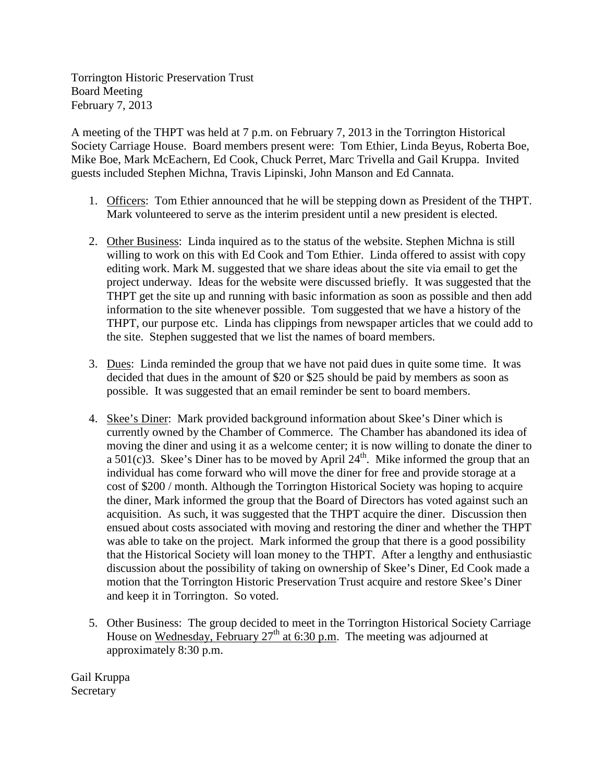Torrington Historic Preservation Trust Board Meeting February 7, 2013

A meeting of the THPT was held at 7 p.m. on February 7, 2013 in the Torrington Historical Society Carriage House. Board members present were: Tom Ethier, Linda Beyus, Roberta Boe, Mike Boe, Mark McEachern, Ed Cook, Chuck Perret, Marc Trivella and Gail Kruppa. Invited guests included Stephen Michna, Travis Lipinski, John Manson and Ed Cannata.

- 1. Officers: Tom Ethier announced that he will be stepping down as President of the THPT. Mark volunteered to serve as the interim president until a new president is elected.
- 2. Other Business: Linda inquired as to the status of the website. Stephen Michna is still willing to work on this with Ed Cook and Tom Ethier. Linda offered to assist with copy editing work. Mark M. suggested that we share ideas about the site via email to get the project underway. Ideas for the website were discussed briefly. It was suggested that the THPT get the site up and running with basic information as soon as possible and then add information to the site whenever possible. Tom suggested that we have a history of the THPT, our purpose etc. Linda has clippings from newspaper articles that we could add to the site. Stephen suggested that we list the names of board members.
- 3. Dues: Linda reminded the group that we have not paid dues in quite some time. It was decided that dues in the amount of \$20 or \$25 should be paid by members as soon as possible. It was suggested that an email reminder be sent to board members.
- 4. Skee's Diner: Mark provided background information about Skee's Diner which is currently owned by the Chamber of Commerce. The Chamber has abandoned its idea of moving the diner and using it as a welcome center; it is now willing to donate the diner to a  $501(c)$ 3. Skee's Diner has to be moved by April  $24<sup>th</sup>$ . Mike informed the group that an individual has come forward who will move the diner for free and provide storage at a cost of \$200 / month. Although the Torrington Historical Society was hoping to acquire the diner, Mark informed the group that the Board of Directors has voted against such an acquisition. As such, it was suggested that the THPT acquire the diner. Discussion then ensued about costs associated with moving and restoring the diner and whether the THPT was able to take on the project. Mark informed the group that there is a good possibility that the Historical Society will loan money to the THPT. After a lengthy and enthusiastic discussion about the possibility of taking on ownership of Skee's Diner, Ed Cook made a motion that the Torrington Historic Preservation Trust acquire and restore Skee's Diner and keep it in Torrington. So voted.
- 5. Other Business: The group decided to meet in the Torrington Historical Society Carriage House on Wednesday, February  $27<sup>th</sup>$  at 6:30 p.m. The meeting was adjourned at approximately 8:30 p.m.

Gail Kruppa **Secretary**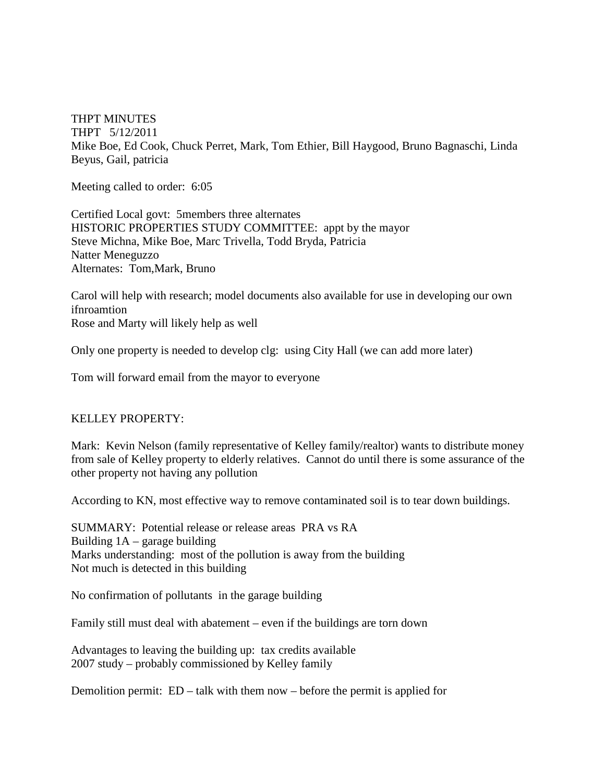THPT MINUTES THPT 5/12/2011 Mike Boe, Ed Cook, Chuck Perret, Mark, Tom Ethier, Bill Haygood, Bruno Bagnaschi, Linda Beyus, Gail, patricia

Meeting called to order: 6:05

Certified Local govt: 5members three alternates HISTORIC PROPERTIES STUDY COMMITTEE: appt by the mayor Steve Michna, Mike Boe, Marc Trivella, Todd Bryda, Patricia Natter Meneguzzo Alternates: Tom,Mark, Bruno

Carol will help with research; model documents also available for use in developing our own ifnroamtion Rose and Marty will likely help as well

Only one property is needed to develop clg: using City Hall (we can add more later)

Tom will forward email from the mayor to everyone

## KELLEY PROPERTY:

Mark: Kevin Nelson (family representative of Kelley family/realtor) wants to distribute money from sale of Kelley property to elderly relatives. Cannot do until there is some assurance of the other property not having any pollution

According to KN, most effective way to remove contaminated soil is to tear down buildings.

SUMMARY: Potential release or release areas PRA vs RA Building  $1A$  – garage building Marks understanding: most of the pollution is away from the building Not much is detected in this building

No confirmation of pollutants in the garage building

Family still must deal with abatement – even if the buildings are torn down

Advantages to leaving the building up: tax credits available 2007 study – probably commissioned by Kelley family

Demolition permit: ED – talk with them now – before the permit is applied for